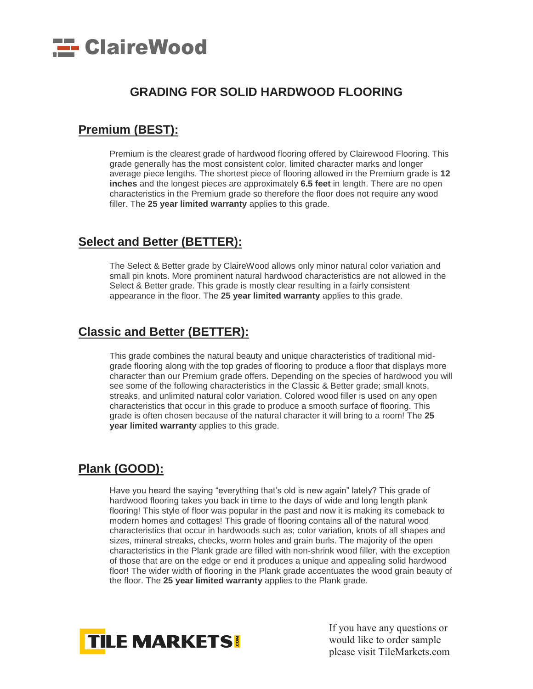

## **GRADING FOR SOLID HARDWOOD FLOORING**

#### **[Premium](https://web.archive.org/web/20110315023950/http:/www.woodfloorsdirect.ca/woodspecies-filter-grade.asp?Grade=Premium) (BEST):**

Premium is the clearest grade of hardwood flooring offered by Clairewood Flooring. This grade generally has the most consistent color, limited character marks and longer average piece lengths. The shortest piece of flooring allowed in the Premium grade is **12 inches** and the longest pieces are approximately **6.5 feet** in length. There are no open characteristics in the Premium grade so therefore the floor does not require any wood filler. The **25 year limited warranty** applies to this grade.

#### **[Select and](https://web.archive.org/web/20110315023950/http:/www.woodfloorsdirect.ca/woodspecies-filter-grade.asp?Grade=Select%20and%20Better) Better (BETTER):**

The Select & Better grade by ClaireWood allows only minor natural color variation and small pin knots. More prominent natural hardwood characteristics are not allowed in the Select & Better grade. This grade is mostly clear resulting in a fairly consistent appearance in the floor. The **25 year limited warranty** applies to this grade.

## **[Classic and Better](https://web.archive.org/web/20110315023950/http:/www.woodfloorsdirect.ca/woodspecies-filter-grade.asp?Grade=Classic%20and%20Better) (BETTER):**

This grade combines the natural beauty and unique characteristics of traditional midgrade flooring along with the top grades of flooring to produce a floor that displays more character than our Premium grade offers. Depending on the species of hardwood you will see some of the following characteristics in the Classic & Better grade; small knots, streaks, and unlimited natural color variation. Colored wood filler is used on any open characteristics that occur in this grade to produce a smooth surface of flooring. This grade is often chosen because of the natural character it will bring to a room! The **25 year limited warranty** applies to this grade.

# **[Plank](https://web.archive.org/web/20110315023950/http:/www.woodfloorsdirect.ca/woodspecies-filter-grade.asp?Grade=Plank) (GOOD):**

Have you heard the saying "everything that's old is new again" lately? This grade of hardwood flooring takes you back in time to the days of wide and long length plank flooring! This style of floor was popular in the past and now it is making its comeback to modern homes and cottages! This grade of flooring contains all of the natural wood characteristics that occur in hardwoods such as; color variation, knots of all shapes and sizes, mineral streaks, checks, worm holes and grain burls. The majority of the open characteristics in the Plank grade are filled with non-shrink wood filler, with the exception of those that are on the edge or end it produces a unique and appealing solid hardwood floor! The wider width of flooring in the Plank grade accentuates the wood grain beauty of the floor. The **25 year limited warranty** applies to the Plank grade.



If you have any questions or would like to order sample please visit TileMarkets.com